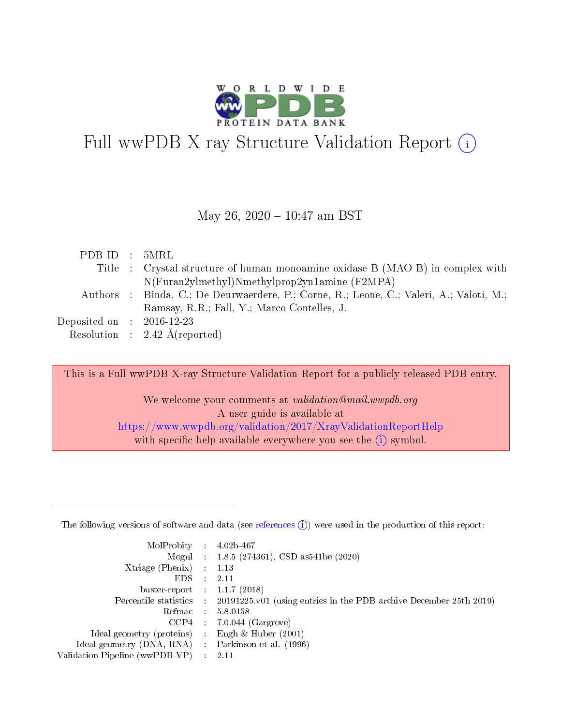

# Full wwPDB X-ray Structure Validation Report  $(i)$

#### May 26, 2020 - 10:47 am BST

| PDB ID : 5MRL               |                                                                                         |
|-----------------------------|-----------------------------------------------------------------------------------------|
|                             | Title : Crystal structure of human monoamine oxidase B (MAO B) in complex with          |
|                             | N(Furan2ylmethyl)Nmethylprop2yn1amine (F2MPA)                                           |
|                             | Authors : Binda, C.; De Deurwaerdere, P.; Corne, R.; Leone, C.; Valeri, A.; Valoti, M.; |
|                             | Ramsay, R.R.; Fall, Y.; Marco-Contelles, J.                                             |
| Deposited on : $2016-12-23$ |                                                                                         |
|                             | Resolution : $2.42 \text{ Å}$ (reported)                                                |

This is a Full wwPDB X-ray Structure Validation Report for a publicly released PDB entry.

We welcome your comments at validation@mail.wwpdb.org A user guide is available at <https://www.wwpdb.org/validation/2017/XrayValidationReportHelp> with specific help available everywhere you see the  $(i)$  symbol.

The following versions of software and data (see [references](https://www.wwpdb.org/validation/2017/XrayValidationReportHelp#references)  $(1)$ ) were used in the production of this report:

| MolProbity                     | $\mathcal{L}_{\rm{max}}$ | $4.02b - 467$                                                                |
|--------------------------------|--------------------------|------------------------------------------------------------------------------|
|                                |                          | Mogul : $1.8.5$ (274361), CSD as 541be (2020)                                |
| $X$ triage (Phenix) :          |                          | 1.13                                                                         |
| EDS.                           |                          | 2.11                                                                         |
| buster-report : $1.1.7$ (2018) |                          |                                                                              |
| Percentile statistics :        |                          | $20191225 \text{ v}01$ (using entries in the PDB archive December 25th 2019) |
| Refmac                         |                          | 5.8.0158                                                                     |
| $CCP4$ :                       |                          | $7.0.044$ (Gargrove)                                                         |
| Ideal geometry (proteins) :    |                          | Engh $\&$ Huber (2001)                                                       |
| Ideal geometry (DNA, RNA) :    |                          | Parkinson et al. (1996)                                                      |
| Validation Pipeline (wwPDB-VP) | $\mathcal{L}$            | -2.11                                                                        |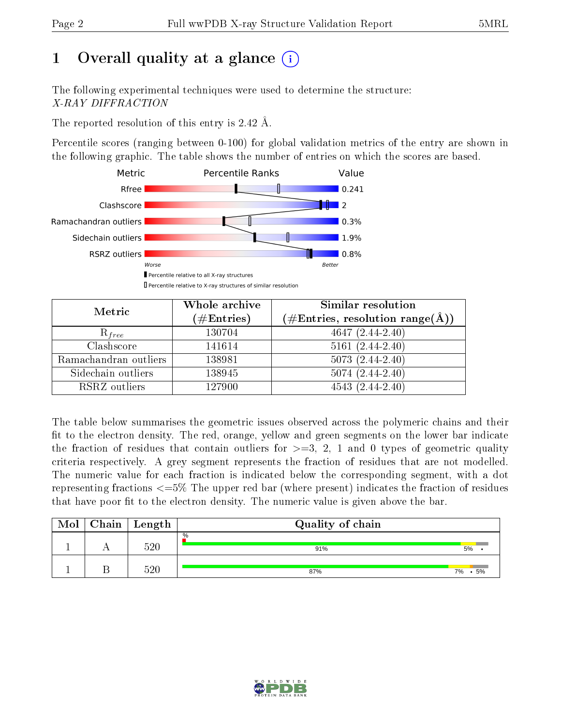# 1 [O](https://www.wwpdb.org/validation/2017/XrayValidationReportHelp#overall_quality)verall quality at a glance  $(i)$

The following experimental techniques were used to determine the structure: X-RAY DIFFRACTION

The reported resolution of this entry is 2.42 Å.

Percentile scores (ranging between 0-100) for global validation metrics of the entry are shown in the following graphic. The table shows the number of entries on which the scores are based.



| Metric                | Whole archive<br>$(\#\text{Entries})$ | Similar resolution<br>$(\#\text{Entries},\,\text{resolution}\,\,\text{range}(\textup{\AA}))$ |
|-----------------------|---------------------------------------|----------------------------------------------------------------------------------------------|
| $R_{free}$            | 130704                                | $4647(2.44-2.40)$                                                                            |
| Clashscore            | 141614                                | $5161(2.44-2.40)$                                                                            |
| Ramachandran outliers | 138981                                | $5073(2.44-2.40)$                                                                            |
| Sidechain outliers    | 138945                                | $5074(2.44-2.40)$                                                                            |
| RSRZ outliers         | 127900                                | $4543(2.44-2.40)$                                                                            |

The table below summarises the geometric issues observed across the polymeric chains and their fit to the electron density. The red, orange, yellow and green segments on the lower bar indicate the fraction of residues that contain outliers for  $>=3, 2, 1$  and 0 types of geometric quality criteria respectively. A grey segment represents the fraction of residues that are not modelled. The numeric value for each fraction is indicated below the corresponding segment, with a dot representing fractions  $\epsilon=5\%$  The upper red bar (where present) indicates the fraction of residues that have poor fit to the electron density. The numeric value is given above the bar.

| Mol | $Chain$ Length | Quality of chain |          |  |  |  |  |  |
|-----|----------------|------------------|----------|--|--|--|--|--|
|     | 520            | $\%$<br>91%      | 5%       |  |  |  |  |  |
|     | 520            | 87%              | 5%<br>7% |  |  |  |  |  |

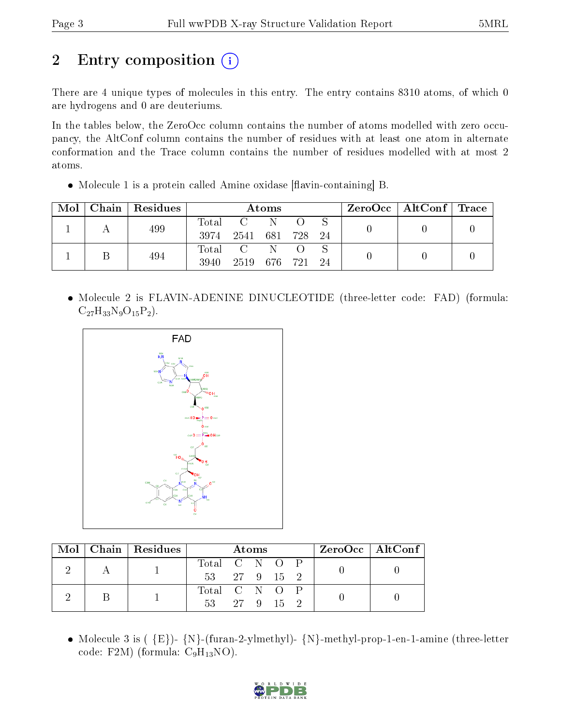# 2 Entry composition  $\left( \cdot \right)$

There are 4 unique types of molecules in this entry. The entry contains 8310 atoms, of which 0 are hydrogens and 0 are deuteriums.

In the tables below, the ZeroOcc column contains the number of atoms modelled with zero occupancy, the AltConf column contains the number of residues with at least one atom in alternate conformation and the Trace column contains the number of residues modelled with at most 2 atoms.

 $\bullet$  Molecule 1 is a protein called Amine oxidase [flavin-containing] B.

| Mol | Chain   Residues | Atoms       |                                                     |     |  |  | $\text{ZeroOcc} \mid \text{AltConf} \mid \text{Trace}$ |  |  |
|-----|------------------|-------------|-----------------------------------------------------|-----|--|--|--------------------------------------------------------|--|--|
|     | 499              | $\rm Total$ | $\overline{\mathbf{C}}$ and $\overline{\mathbf{C}}$ | - N |  |  |                                                        |  |  |
|     |                  | 3974        | 2541 681 728 24                                     |     |  |  |                                                        |  |  |
|     |                  | Total       | $\sim$ C $\sim$                                     | -N  |  |  |                                                        |  |  |
|     | 494              | 3940        | 2519 676 721 24                                     |     |  |  |                                                        |  |  |

• Molecule 2 is FLAVIN-ADENINE DINUCLEOTIDE (three-letter code: FAD) (formula:  $C_{27}H_{33}N_9O_{15}P_2$ .



|  | Mol   Chain   Residues | Atoms         |  |  |  |  | ZeroOcc   AltConf |  |
|--|------------------------|---------------|--|--|--|--|-------------------|--|
|  |                        | Total C N O P |  |  |  |  |                   |  |
|  |                        | 53 27 9 15 2  |  |  |  |  |                   |  |
|  |                        | Total C N O P |  |  |  |  |                   |  |
|  |                        | 53 27 9 15 2  |  |  |  |  |                   |  |

• Molecule 3 is ( ${E}$ )-  ${N}$ -(furan-2-ylmethyl)-  ${N}$ -methyl-prop-1-en-1-amine (three-letter code: F2M) (formula:  $C_9H_{13}NO$ ).

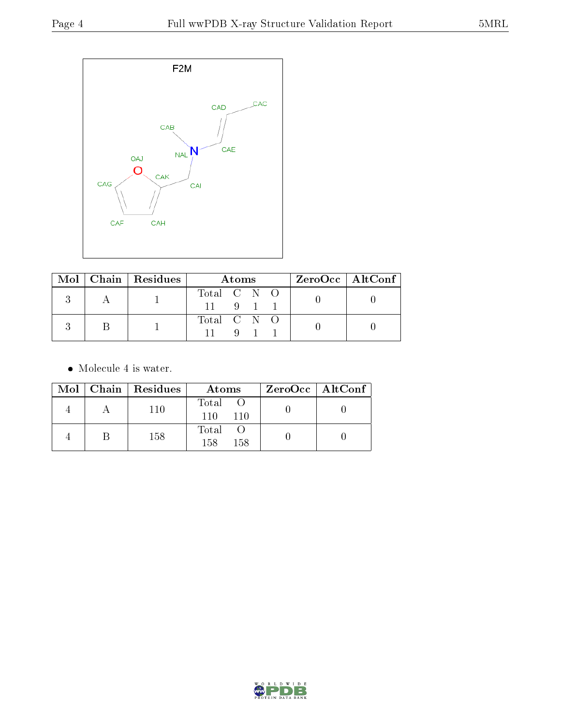

|  | Mol   Chain   Residues | Atoms       |              |             | $ZeroOcc \   \ AltConf \  $ |  |
|--|------------------------|-------------|--------------|-------------|-----------------------------|--|
|  |                        | Total C N O |              |             |                             |  |
|  |                        |             |              | $9 \quad 1$ |                             |  |
|  |                        | Total C N O |              |             |                             |  |
|  |                        |             | $\mathbf{Q}$ |             |                             |  |

 $\bullet\,$  Molecule 4 is water.

|  | $Mol$   Chain   Residues | Atoms                 | $ZeroOcc \   \$ AltConf |
|--|--------------------------|-----------------------|-------------------------|
|  | 110                      | Total O<br>110<br>110 |                         |
|  | 158                      | Total<br>158<br>158   |                         |

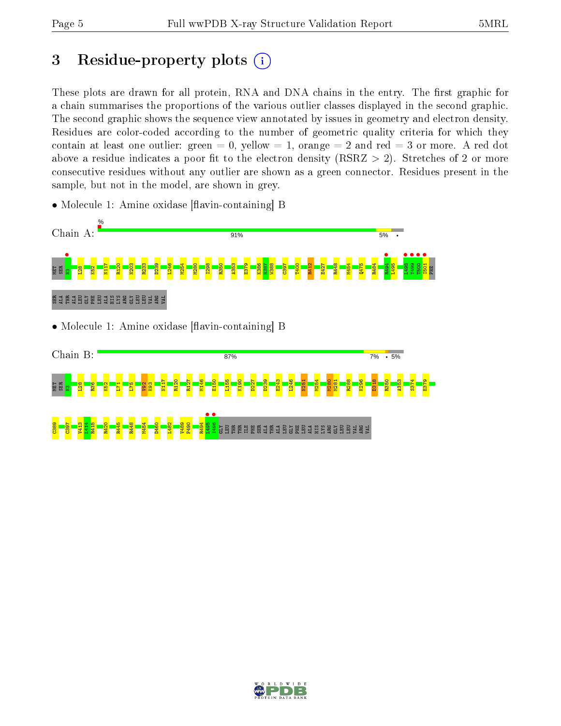# 3 Residue-property plots  $(i)$

These plots are drawn for all protein, RNA and DNA chains in the entry. The first graphic for a chain summarises the proportions of the various outlier classes displayed in the second graphic. The second graphic shows the sequence view annotated by issues in geometry and electron density. Residues are color-coded according to the number of geometric quality criteria for which they contain at least one outlier: green  $= 0$ , yellow  $= 1$ , orange  $= 2$  and red  $= 3$  or more. A red dot above a residue indicates a poor fit to the electron density (RSRZ  $> 2$ ). Stretches of 2 or more consecutive residues without any outlier are shown as a green connector. Residues present in the sample, but not in the model, are shown in grey.

• Molecule 1: Amine oxidase [flavin-containing] B



#### ម្ពឆ្ល<mark>ី ខ្ល</mark>ី <mark>ខ្ល</mark>ី  $\frac{82}{10}$  $\overline{\mathbf{r}}$  $\frac{1}{2}$  $\frac{82}{2}$ K93 N117 R120 R127 M146 E150 L155 K190 D227 D239 E243 L246 N251 M254 M280 M281 R288 K296 D318 R350 A353 S374 E379

 $\frac{8}{2}$  $\frac{165}{165}$ V413  $\frac{44}{4}$ R415 R420 R445 R448 M454 D460 L482 V489 P490 R494  $\frac{1495}{1406}$ **•**<br>Serieleu En Stedense Suuri<br><mark>S</mark>

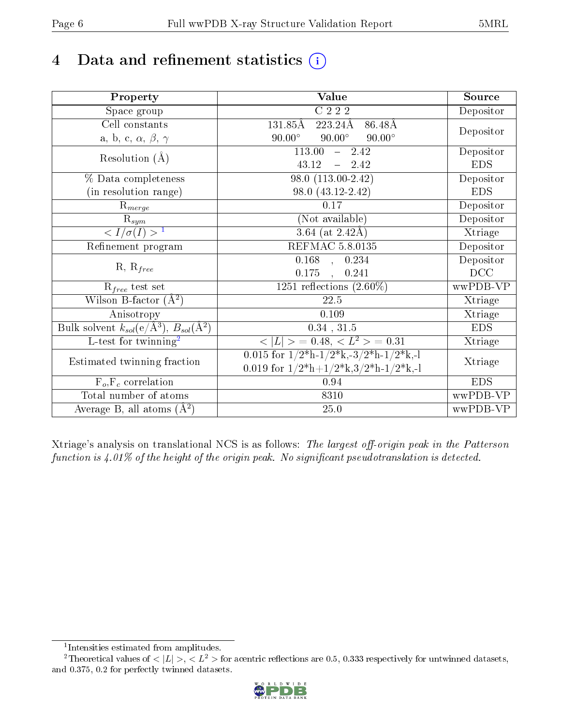# 4 Data and refinement statistics  $(i)$

| Property                                                             | <b>Value</b>                                                                          | Source     |  |
|----------------------------------------------------------------------|---------------------------------------------------------------------------------------|------------|--|
| Space group                                                          | $C$ 222                                                                               | Depositor  |  |
| Cell constants                                                       | 131.85Å<br>$223.24\text{\AA}$<br>86.48Å                                               |            |  |
| a, b, c, $\alpha$ , $\beta$ , $\gamma$                               | $90.00^\circ$<br>$90.00^\circ$<br>$90.00^\circ$                                       | Depositor  |  |
| Resolution $(\AA)$                                                   | 113.00<br>$-2.42$                                                                     | Depositor  |  |
|                                                                      | 43.12<br>$-2.42$                                                                      | <b>EDS</b> |  |
| % Data completeness                                                  | 98.0 (113.00-2.42)                                                                    | Depositor  |  |
| (in resolution range)                                                | 98.0 (43.12-2.42)                                                                     | <b>EDS</b> |  |
| $R_{merge}$                                                          | 0.17                                                                                  | Depositor  |  |
| $rac{R_{sym}}{< I/\sigma(I) > 1}$                                    | (Not available)                                                                       | Depositor  |  |
|                                                                      | $3.64$ (at 2.42Å)                                                                     | Xtriage    |  |
| Refinement program                                                   | <b>REFMAC 5.8.0135</b>                                                                | Depositor  |  |
|                                                                      | $0.168$ , $0.234$                                                                     | Depositor  |  |
| $R, R_{free}$                                                        | 0.175,<br>0.241                                                                       | DCC        |  |
| $R_{free}$ test set                                                  | 1251 reflections $(2.60\%)$                                                           | wwPDB-VP   |  |
| Wilson B-factor $(A^2)$                                              | 22.5                                                                                  | Xtriage    |  |
| Anisotropy                                                           | 0.109                                                                                 | Xtriage    |  |
| Bulk solvent $k_{sol}(e/\mathring{A}^3)$ , $B_{sol}(\mathring{A}^2)$ | $0.34$ , $31.5$                                                                       | <b>EDS</b> |  |
| L-test for twinning <sup>2</sup>                                     | $< L >$ = 0.48, $< L^2 >$ = 0.31                                                      | Xtriage    |  |
| Estimated twinning fraction                                          | 0.015 for $1/2^{\ast}h$ -1/2 <sup>*</sup> k,-3/2 <sup>*</sup> h-1/2 <sup>*</sup> k,-1 |            |  |
|                                                                      | 0.019 for $1/2^*h+1/2^*k$ , $3/2^*h-1/2^*k$ , -1                                      | Xtriage    |  |
| $F_o, F_c$ correlation                                               | 0.94                                                                                  | <b>EDS</b> |  |
| Total number of atoms                                                | 8310                                                                                  | wwPDB-VP   |  |
| Average B, all atoms $(A^2)$                                         | $25.0\,$                                                                              | wwPDB-VP   |  |

Xtriage's analysis on translational NCS is as follows: The largest off-origin peak in the Patterson function is  $4.01\%$  of the height of the origin peak. No significant pseudotranslation is detected.

<sup>&</sup>lt;sup>2</sup>Theoretical values of  $\langle |L| \rangle$ ,  $\langle L^2 \rangle$  for acentric reflections are 0.5, 0.333 respectively for untwinned datasets, and 0.375, 0.2 for perfectly twinned datasets.



<span id="page-5-1"></span><span id="page-5-0"></span><sup>1</sup> Intensities estimated from amplitudes.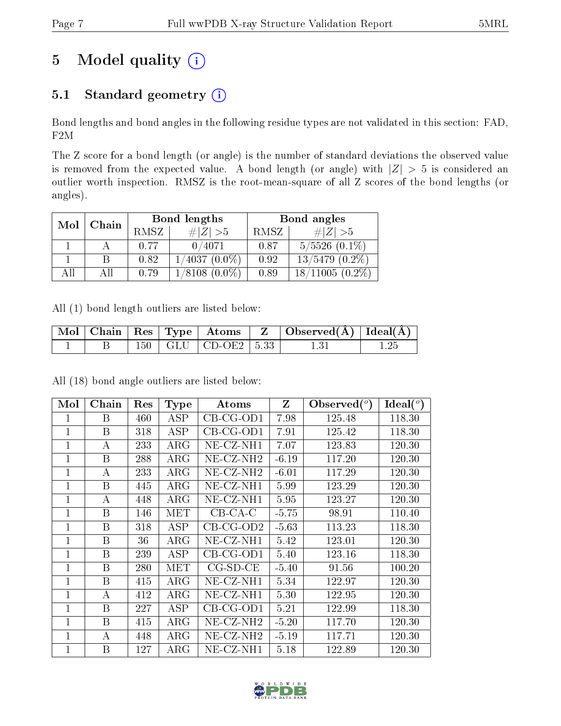# 5 Model quality  $(i)$

## 5.1 Standard geometry (i)

Bond lengths and bond angles in the following residue types are not validated in this section: FAD, F2M

The Z score for a bond length (or angle) is the number of standard deviations the observed value is removed from the expected value. A bond length (or angle) with  $|Z| > 5$  is considered an outlier worth inspection. RMSZ is the root-mean-square of all Z scores of the bond lengths (or angles).

| Mol  | Chain |                | Bond lengths        | Bond angles |                       |  |
|------|-------|----------------|---------------------|-------------|-----------------------|--|
|      |       | RMSZ           | $\# Z  > 5$         | RMSZ        | # $ Z  > 5$           |  |
|      |       | 0/4071<br>0.77 |                     | 0.87        | $5/5526$ $(0.1\%)$    |  |
|      |       | 0.82           | $1/4037(0.0\%)$     | 0.92        | $13/5479$ $(0.2\%)$   |  |
| A 11 | АH    | 0.79           | $(0.0\%)$<br>1/8108 | 0.89        | $(0.2\%)$<br>18/11005 |  |

All (1) bond length outliers are listed below:

|  |  |                             | $\begin{array}{ c c c c c c }\hline \text{Mol} & \text{Chain} & \text{Res} & \text{Type} & \text{Atoms} & \text{Z} & \text{Observed(A)} & \text{Ideal(A)} \hline \end{array}$ |  |
|--|--|-----------------------------|-------------------------------------------------------------------------------------------------------------------------------------------------------------------------------|--|
|  |  | $150$   GLU   CD-OE2   5.33 |                                                                                                                                                                               |  |

All (18) bond angle outliers are listed below:

| Mol          | Chain | Res | <b>Type</b> | Atoms                 | Z       | $\text{Observed}(^{\text{o}})$ | $Ideal(^o)$ |
|--------------|-------|-----|-------------|-----------------------|---------|--------------------------------|-------------|
| 1            | B     | 460 | ASP         | $CB-CG-OD1$           | 7.98    | 125.48                         | 118.30      |
| $\mathbf{1}$ | B     | 318 | ASP         | $CB-CG-OD1$           | 7.91    | 125.42                         | 118.30      |
| $\mathbf{1}$ | А     | 233 | $\rm{ARG}$  | NE-CZ-NH1             | 7.07    | 123.83                         | 120.30      |
| $\mathbf{1}$ | B     | 288 | $\rm{ARG}$  | NE-CZ-NH <sub>2</sub> | $-6.19$ | 117.20                         | 120.30      |
| 1            | А     | 233 | $\rm{ARG}$  | NE-CZ-NH <sub>2</sub> | $-6.01$ | 117.29                         | 120.30      |
| 1            | B     | 445 | $\rm{ARG}$  | $NE$ - $CZ$ - $NH1$   | 5.99    | 123.29                         | 120.30      |
| $\mathbf{1}$ | А     | 448 | $\rm{ARG}$  | $NE- CZ-NH1$          | 5.95    | 123.27                         | 120.30      |
| $\mathbf{1}$ | B     | 146 | <b>MET</b>  | $CB-CA-C$             | $-5.75$ | 98.91                          | 110.40      |
| $\mathbf{1}$ | B     | 318 | <b>ASP</b>  | $CB-CG-OD2$           | $-5.63$ | 113.23                         | 118.30      |
| $\mathbf{1}$ | B     | 36  | $\rm{ARG}$  | NE-CZ-NH1             | 5.42    | 123.01                         | 120.30      |
| $\mathbf{1}$ | B     | 239 | ASP         | $CB-CG-OD1$           | 5.40    | 123.16                         | 118.30      |
| $\mathbf{1}$ | B     | 280 | MET         | $CG-SD-CE$            | $-5.40$ | 91.56                          | 100.20      |
| $\mathbf{1}$ | B     | 415 | $\rm{ARG}$  | $NE- CZ-NH1$          | 5.34    | 122.97                         | 120.30      |
| 1            | А     | 412 | $\rm{ARG}$  | $NE- CZ-NH1$          | 5.30    | 122.95                         | 120.30      |
| 1            | B     | 227 | ASP         | $CB-CG-OD1$           | 5.21    | 122.99                         | 118.30      |
| $\mathbf{1}$ | B     | 415 | $\rm{ARG}$  | NE-CZ-NH <sub>2</sub> | $-5.20$ | 117.70                         | 120.30      |
| $\mathbf{1}$ | А     | 448 | $\rm{ARG}$  | NE-CZ-NH <sub>2</sub> | $-5.19$ | 117.71                         | 120.30      |
| 1            | B     | 127 | $\rm{ARG}$  | NE-CZ-NH1             | 5.18    | 122.89                         | 120.30      |

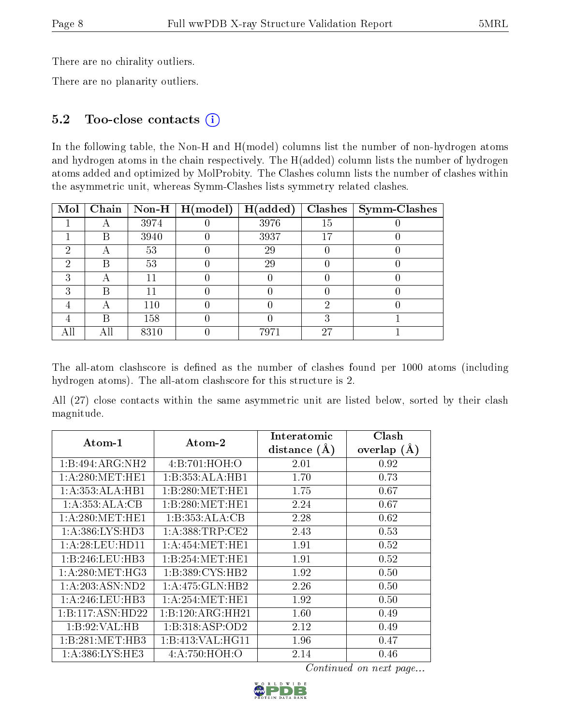There are no chirality outliers.

There are no planarity outliers.

### 5.2 Too-close contacts (i)

In the following table, the Non-H and H(model) columns list the number of non-hydrogen atoms and hydrogen atoms in the chain respectively. The H(added) column lists the number of hydrogen atoms added and optimized by MolProbity. The Clashes column lists the number of clashes within the asymmetric unit, whereas Symm-Clashes lists symmetry related clashes.

| Mol |   |      | Chain   Non-H   $H (model)$ | H(added) | Clashes | Symm-Clashes |
|-----|---|------|-----------------------------|----------|---------|--------------|
|     |   | 3974 |                             | 3976     | 15      |              |
|     | В | 3940 |                             | 3937     | 17      |              |
| റ   | А | 53   |                             | 29       |         |              |
| 2   | R | 53   |                             | 29       |         |              |
| ച   | А |      |                             |          |         |              |
| З   | В |      |                             |          |         |              |
|     | Α | 110  |                             |          |         |              |
|     | R | 158  |                             |          |         |              |
|     |   | 8310 |                             | 7971     | 27      |              |

The all-atom clashscore is defined as the number of clashes found per 1000 atoms (including hydrogen atoms). The all-atom clashscore for this structure is 2.

All (27) close contacts within the same asymmetric unit are listed below, sorted by their clash magnitude.

| $\boldsymbol{\mathrm{Atom}\text{-}1}$ | Atom-2              | Interatomic<br>distance $(A)$ | Clash<br>overlap<br>$(\AA)$ |
|---------------------------------------|---------------------|-------------------------------|-----------------------------|
| $1:B:494:ARG:N\overline{H2}$          | 4:B:701:HOH:O       | 2.01                          | 0.92                        |
| 1: A:280:MET:HE1                      | 1:B:353:ALA:HB1     | 1.70                          | 0.73                        |
| 1:A:353:ALA:HB1                       | 1: B:280:MET:HE1    | 1.75                          | 0.67                        |
| 1:A:353:ALA:CB                        | 1: B:280:MET:HE1    | 2.24                          | 0.67                        |
| 1: A:280:MET:HE1                      | 1:B:353:ALA:CB      | 2.28                          | 0.62                        |
| 1: A:386: LYS:HD3                     | 1: A:388:TRP:CE2    | 2.43                          | 0.53                        |
| 1: A:28:LEU:HD11                      | 1:A:454:MET:HE1     | 1.91                          | 0.52                        |
| 1:B:246:LEU:HB3                       | 1: B: 254: MET: HE1 | 1.91                          | 0.52                        |
| $1:$ A:280:MET:HG3                    | 1:B:389:CYS:HB2     | 1.92                          | 0.50                        |
| 1:A:203:ASN:ND2                       | 1:A:475:GLN:HB2     | 2.26                          | 0.50                        |
| 1: A:246:LEU:HB3                      | 1: A:254: MET:HE1   | 1.92                          | 0.50                        |
| 1:B:117:ASN:HD22                      | 1:B:120:ARG:HH21    | 1.60                          | 0.49                        |
| 1:B:92:VAL:HB                         | 1:B:318:ASP:OD2     | 2.12                          | 0.49                        |
| 1: B:281: MET:HB3                     | 1:B:413:VAL:HG11    | 1.96                          | 0.47                        |
| 1: A: 386: LYS: HE3                   | 4: A:750:HOH:O      | 2.14                          | 0.46                        |

Continued on next page...

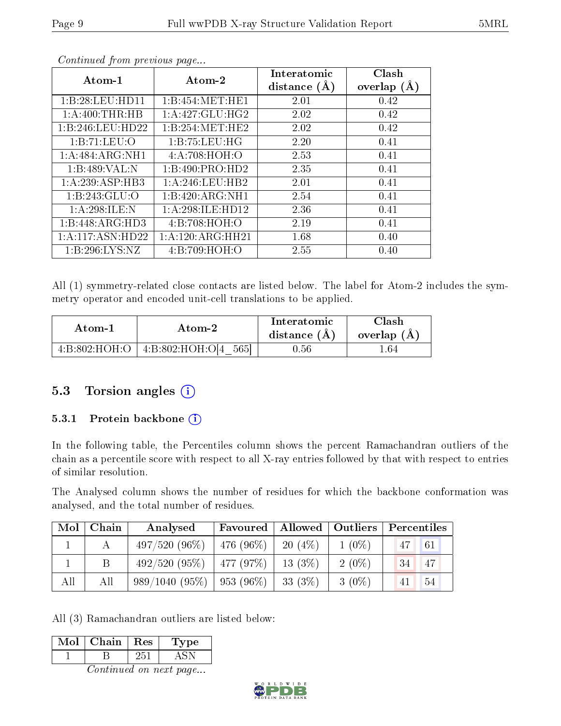| $Atom-1$         | Atom-2             | Interatomic<br>distance $(A)$ | Clash<br>overlap $(A)$ |
|------------------|--------------------|-------------------------------|------------------------|
| 1:B:28:LEU:HD11  | 1:B:454:MET:HE1    | 2.01                          | 0.42                   |
| 1: A:400:THR:HB  | 1: A:427: GLU: HG2 | 2.02                          | 0.42                   |
| 1:B:246:LEU:HD22 | 1:B:254:MET:HE2    | 2.02                          | 0.42                   |
| 1:B:71:LEU:O     | 1:B:75:LEU:HG      | 2.20                          | 0.41                   |
| 1:A:484:ARG:NH1  | 4: A:708:HOH:O     | 2.53                          | 0.41                   |
| 1:B:489:VAL:N    | 1:B:490:PRO:HD2    | 2.35                          | 0.41                   |
| 1:A:239:ASP:HB3  | 1:A:246:LEU:HB2    | 2.01                          | 0.41                   |
| 1:B:243:GLU:O    | 1:B:420:ARG:NH1    | 2.54                          | 0.41                   |
| 1: A:298: ILE:N  | 1:A:298:ILE:HD12   | 2.36                          | 0.41                   |
| 1:B:448:ARG:HD3  | 4:B:708:HOH:O      | 2.19                          | 0.41                   |
| 1:A:117:ASN:HD22 | 1:A:120:ARG:HH21   | 1.68                          | 0.40                   |
| 1:B:296:LYS:NZ   | 4:B:709:HOH:O      | 2.55                          | 0.40                   |

Continued from previous page...

All (1) symmetry-related close contacts are listed below. The label for Atom-2 includes the symmetry operator and encoded unit-cell translations to be applied.

| Atom-2                                  |                         | Interatomic    | Clash         |  |
|-----------------------------------------|-------------------------|----------------|---------------|--|
| Atom-1                                  |                         | distance $(A)$ | overlap $(A)$ |  |
| $4 \cdot B \cdot 802 \cdot HOH \cdot O$ | 4:B:802:HOH:O[4<br>5651 | ).56           | - 64          |  |

### 5.3 Torsion angles (i)

#### 5.3.1 Protein backbone  $(i)$

In the following table, the Percentiles column shows the percent Ramachandran outliers of the chain as a percentile score with respect to all X-ray entries followed by that with respect to entries of similar resolution.

The Analysed column shows the number of residues for which the backbone conformation was analysed, and the total number of residues.

| Mol | Chain | Analysed         | Favoured   Allowed   Outliers |          |          | Percentiles |    |
|-----|-------|------------------|-------------------------------|----------|----------|-------------|----|
|     |       | $497/520(96\%)$  | 476 (96%)                     | 20(4%)   | $1(0\%)$ | 47          | 61 |
|     |       | 492/520(95%)     | $-477(97%)$                   | 13(3%)   | $2(0\%)$ | -34         | 47 |
| All | All   | $989/1040(95\%)$ | $-953(96\%)$                  | 33 (3\%) | $3(0\%)$ |             | 54 |

All (3) Ramachandran outliers are listed below:

| Mol                    | Chain   Res |     | <b>Type</b> |  |  |  |  |
|------------------------|-------------|-----|-------------|--|--|--|--|
|                        | В           | 251 | <b>ASN</b>  |  |  |  |  |
| Continued on next page |             |     |             |  |  |  |  |

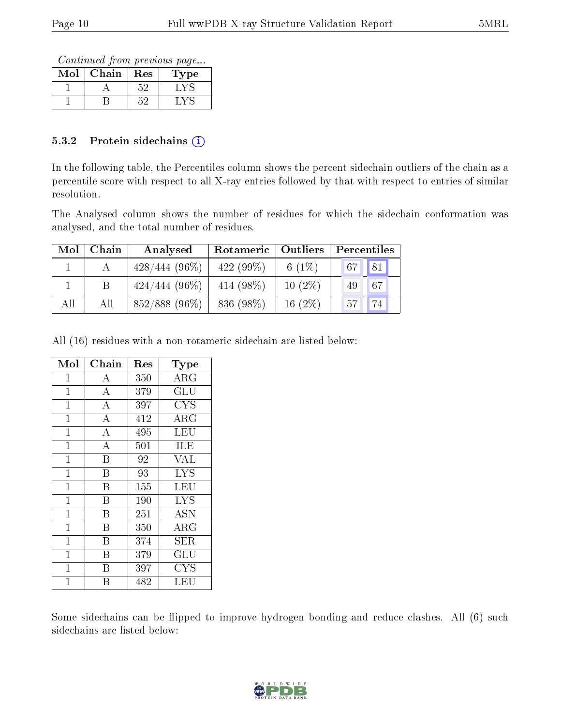Continued from previous page...

| VIol | Chain | Res | 1'ype |
|------|-------|-----|-------|
|      |       | ビヒ  |       |
|      |       |     |       |

#### 5.3.2 Protein sidechains  $(i)$

In the following table, the Percentiles column shows the percent sidechain outliers of the chain as a percentile score with respect to all X-ray entries followed by that with respect to entries of similar resolution.

The Analysed column shows the number of residues for which the sidechain conformation was analysed, and the total number of residues.

| Mol | Chain | Analysed        | Rotameric<br>Outliers |            | Percentiles       |  |  |
|-----|-------|-----------------|-----------------------|------------|-------------------|--|--|
|     |       | $428/444(96\%)$ | $422(99\%)$           | 6 $(1\%)$  | $\sqrt{81}$<br>67 |  |  |
|     |       | $424/444(96\%)$ | 414 (98\%)            | $10(2\%)$  | 67<br>49          |  |  |
| All | All   | 852/888 (96%)   | 836 (98\%)            | 16 $(2\%)$ | 57                |  |  |

All (16) residues with a non-rotameric sidechain are listed below:

| Mol            | Chain              | $\operatorname{Res}% \left( \mathcal{N}\right) \equiv\operatorname{Res}(\mathcal{N}_{0})\cap\mathcal{N}_{1}$ | Type                   |
|----------------|--------------------|--------------------------------------------------------------------------------------------------------------|------------------------|
| 1              | А                  | 350                                                                                                          | ARG                    |
| $\mathbf{1}$   | $\overline{\rm A}$ | 379                                                                                                          | $\overline{{\rm GLU}}$ |
| $\mathbf{1}$   | $\overline{A}$     | 397                                                                                                          | <b>CYS</b>             |
| $\mathbf{1}$   | $\overline{\rm A}$ | 412                                                                                                          | $\rm{ARG}$             |
| $\mathbf{1}$   | $\overline{A}$     | 495                                                                                                          | <b>LEU</b>             |
| $\mathbf{1}$   | $\overline{\rm A}$ | 501                                                                                                          | ILE                    |
| $\mathbf{1}$   | $\rm \bar{B}$      | 92                                                                                                           | <b>VAL</b>             |
| $\mathbf{1}$   | B                  | 93                                                                                                           | <b>LYS</b>             |
| $\mathbf{1}$   | Β                  | 155                                                                                                          | LEU                    |
| $\mathbf{1}$   | B                  | 190                                                                                                          | <b>LYS</b>             |
| $\overline{1}$ | Β                  | 251                                                                                                          | <b>ASN</b>             |
| $\mathbf 1$    | Β                  | 350                                                                                                          | $\rm{ARG}$             |
| $\mathbf{1}$   | B                  | 374                                                                                                          | SER                    |
| $\overline{1}$ | B                  | 379                                                                                                          | GLU                    |
| $\mathbf{1}$   | Β                  | 397                                                                                                          | <b>CYS</b>             |
| 1              | В                  | 482                                                                                                          | LEU                    |

Some sidechains can be flipped to improve hydrogen bonding and reduce clashes. All (6) such sidechains are listed below:

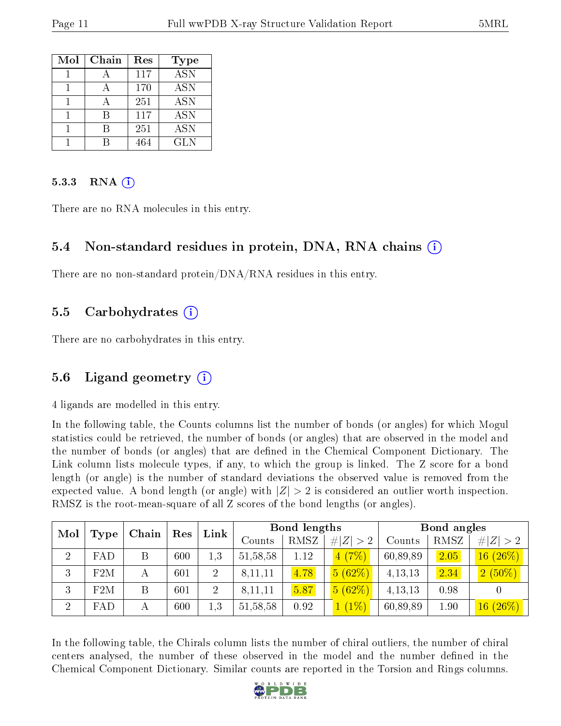| Mol | Chain | Res | Type                      |
|-----|-------|-----|---------------------------|
|     |       | 117 | $\overline{\mathrm{ASN}}$ |
|     |       | 170 | <b>ASN</b>                |
|     |       | 251 | <b>ASN</b>                |
|     |       | 117 | <b>ASN</b>                |
|     | К     | 251 | <b>ASN</b>                |
|     |       | 464 | GL N                      |

#### 5.3.3 RNA  $(i)$

There are no RNA molecules in this entry.

#### 5.4 Non-standard residues in protein, DNA, RNA chains (i)

There are no non-standard protein/DNA/RNA residues in this entry.

#### 5.5 Carbohydrates (i)

There are no carbohydrates in this entry.

### 5.6 Ligand geometry  $(i)$

4 ligands are modelled in this entry.

In the following table, the Counts columns list the number of bonds (or angles) for which Mogul statistics could be retrieved, the number of bonds (or angles) that are observed in the model and the number of bonds (or angles) that are dened in the Chemical Component Dictionary. The Link column lists molecule types, if any, to which the group is linked. The Z score for a bond length (or angle) is the number of standard deviations the observed value is removed from the expected value. A bond length (or angle) with  $|Z| > 2$  is considered an outlier worth inspection. RMSZ is the root-mean-square of all Z scores of the bond lengths (or angles).

| Mol            | Chain       |   |     | Res            |            |      | Link            |           | Bond lengths |                             |  | Bond angles |  |
|----------------|-------------|---|-----|----------------|------------|------|-----------------|-----------|--------------|-----------------------------|--|-------------|--|
|                | <b>Type</b> |   |     |                | Counts     | RMSZ | # $ Z  > 2$     | Counts    | RMSZ         | # $ Z  > 2$                 |  |             |  |
| $\overline{2}$ | FAD         | B | 600 | 1,3            | 51, 58, 58 | 1.12 | 4(7%)           | 60,89,89  | 2.05         | $(26\%)$<br>$16-$           |  |             |  |
| 3              | F2M         | А | 601 | $\overline{2}$ | 8,11,11    | 4.78 | 5(62%)          | 4,13,13   | 2.34         | $2(50\%)$                   |  |             |  |
| 3              | F2M         | B | 601 | $\overline{2}$ | 8,11,11    | 5.87 | 5(62%)          | 4, 13, 13 | 0.98         |                             |  |             |  |
| $\overline{2}$ | FAD         | А | 600 | 1,3            | 51, 58, 58 | 0.92 | $^{\prime}1\%)$ | 60,89,89  | 1.90         | $(26\%)$<br>16 <sup>°</sup> |  |             |  |

In the following table, the Chirals column lists the number of chiral outliers, the number of chiral centers analysed, the number of these observed in the model and the number defined in the Chemical Component Dictionary. Similar counts are reported in the Torsion and Rings columns.

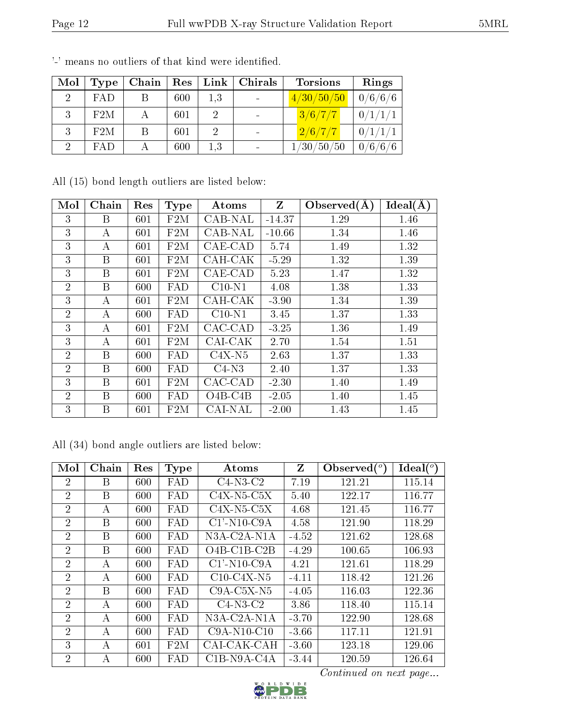| Mol            | Type       | Chain | Res <sub>1</sub> |     | $Link \, \,$ Chirals | <b>Torsions</b> | Rings   |
|----------------|------------|-------|------------------|-----|----------------------|-----------------|---------|
| $\overline{2}$ | FAD        | Β     | 600              | 1,3 |                      | 4/30/50/50      | 0/6/6/6 |
|                | F2M        | А     | 601              | 2   |                      | 3/6/7/7         | 0/1/1/1 |
| 3              | F2M        | Β     | 601              | 2   |                      | 2/6/7/7         | 0/1/1/1 |
|                | <b>FAD</b> |       | 600              | 1,3 |                      | 1/30/50/50      | 0/6/6/6 |

'-' means no outliers of that kind were identified.

All (15) bond length outliers are listed below:

| Mol            | Chain | Res | <b>Type</b> | Atoms          | Z        | Observed $(A)$ | Ideal(A) |
|----------------|-------|-----|-------------|----------------|----------|----------------|----------|
| 3              | Β     | 601 | F2M         | CAB-NAL        | $-14.37$ | 1.29           | 1.46     |
| 3              | А     | 601 | F2M         | CAB-NAL        | $-10.66$ | 1.34           | 1.46     |
| 3              | А     | 601 | F2M         | CAE-CAD        | 5.74     | 1.49           | 1.32     |
| 3              | B     | 601 | F2M         | CAH-CAK        | $-5.29$  | 1.32           | 1.39     |
| 3              | B     | 601 | F2M         | CAE-CAD        | 5.23     | 1.47           | 1.32     |
| $\overline{2}$ | B     | 600 | FAD         | $C10-N1$       | 4.08     | 1.38           | 1.33     |
| 3              | А     | 601 | F2M         | CAH-CAK        | $-3.90$  | 1.34           | 1.39     |
| $\overline{2}$ | A     | 600 | FAD         | $C10-N1$       | 3.45     | 1.37           | 1.33     |
| 3              | А     | 601 | F2M         | CAC-CAD        | $-3.25$  | 1.36           | 1.49     |
| 3              | А     | 601 | F2M         | CAI-CAK        | 2.70     | 1.54           | 1.51     |
| $\overline{2}$ | B     | 600 | FAD         | $C4X-N5$       | 2.63     | 1.37           | 1.33     |
| $\overline{2}$ | B     | 600 | FAD         | $C4-N3$        | 2.40     | 1.37           | 1.33     |
| 3              | B     | 601 | F2M         | CAC-CAD        | $-2.30$  | 1.40           | 1.49     |
| $\overline{2}$ | В     | 600 | FAD         | $O4B-C4B$      | $-2.05$  | 1.40           | 1.45     |
| 3              | Β     | 601 | F2M         | <b>CAI-NAL</b> | $-2.00$  | 1.43           | 1.45     |

All (34) bond angle outliers are listed below:

| Mol            | Chain | Res | <b>Type</b> | $\rm{Atoms}$                             | Z       | Observed $(°)$ | Ideal $(^\circ)$ |
|----------------|-------|-----|-------------|------------------------------------------|---------|----------------|------------------|
| $\overline{2}$ | B     | 600 | FAD         | $C4-N3-C2$                               | 7.19    | 121.21         | 115.14           |
| $\overline{2}$ | B     | 600 | FAD         | $C4X-N5-C5X$                             | 5.40    | 122.17         | 116.77           |
| $\overline{2}$ | А     | 600 | FAD         | $C4X-N5-C5X$                             | 4.68    | 121.45         | 116.77           |
| $\overline{2}$ | B     | 600 | FAD         | $C1'$ -N <sub>10</sub> -C <sub>9</sub> A | 4.58    | 121.90         | 118.29           |
| $\overline{2}$ | B     | 600 | FAD         | $N3A-C2A-N1A$                            | $-4.52$ | 121.62         | 128.68           |
| $\overline{2}$ | B     | 600 | FAD         | $O4B$ -C1B-C2B                           | $-4.29$ | 100.65         | 106.93           |
| $\overline{2}$ | А     | 600 | FAD         | $C1'$ -N <sub>10</sub> -C <sub>9</sub> A | 4.21    | 121.61         | 118.29           |
| $\overline{2}$ | А     | 600 | FAD         | $C10-C4X-N5$                             | $-4.11$ | 118.42         | 121.26           |
| $\overline{2}$ | B     | 600 | FAD         | $C9A-C5X-N5$                             | $-4.05$ | 116.03         | 122.36           |
| $\overline{2}$ | А     | 600 | FAD         | $C4-N3-C2$                               | 3.86    | 118.40         | 115.14           |
| $\overline{2}$ | А     | 600 | FAD         | N3A-C2A-N1A                              | $-3.70$ | 122.90         | 128.68           |
| $\overline{2}$ | А     | 600 | FAD         | $C9A-N10-C10$                            | $-3.66$ | 117.11         | 121.91           |
| 3              | А     | 601 | F2M         | CAI-CAK-CAH                              | $-3.60$ | 123.18         | 129.06           |
| $\overline{2}$ | А     | 600 | FAD         | $C1B-N9A-C4A$                            | $-3.44$ | 120.59         | 126.64           |

Continued on next page...

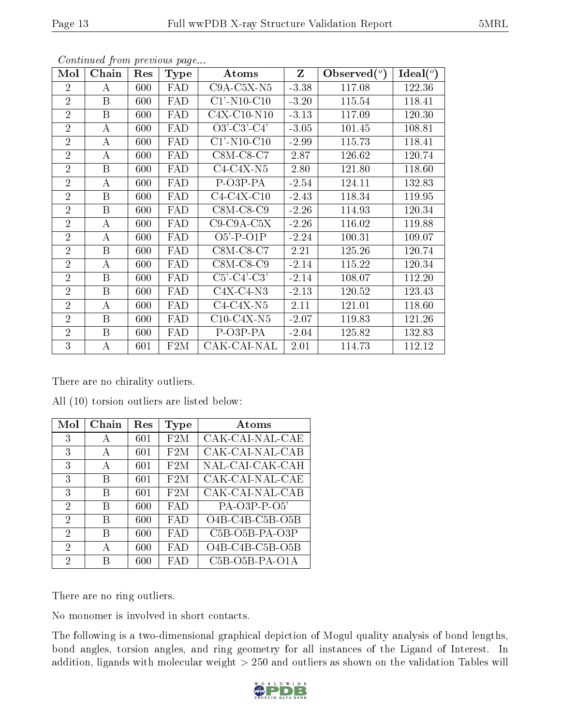| Mol            | Chain | Res     | Type       | <b>Atoms</b>                            | $Z_{\parallel}$ | Observed $(°)$ | $Ideal(^o)$ |
|----------------|-------|---------|------------|-----------------------------------------|-----------------|----------------|-------------|
| $\overline{2}$ | А     | 600     | FAD        | $C9A-C5X-N5$                            | $-3.38$         | 117.08         | 122.36      |
| $\overline{2}$ | B     | 600     | FAD        | $C1'$ -N <sub>10</sub> -C <sub>10</sub> | $-3.20$         | 115.54         | 118.41      |
| $\overline{2}$ | B     | 600     | FAD        | $C4X-C10-N10$                           | $-3.13$         | 117.09         | 120.30      |
| $\overline{2}$ | A     | 600     | FAD        | $O3'-C3'-C4'$                           | $-3.05$         | 101.45         | 108.81      |
| $\overline{2}$ | А     | $600\,$ | FAD        | $C1'$ -N <sub>10</sub> -C <sub>10</sub> | $-2.99$         | 115.73         | 118.41      |
| $\overline{2}$ | А     | $600\,$ | <b>FAD</b> | $C8M-C8-C7$                             | 2.87            | 126.62         | 120.74      |
| $\overline{2}$ | B     | 600     | FAD        | $C4-C4X-N5$                             | 2.80            | 121.80         | 118.60      |
| $\overline{2}$ | А     | $600\,$ | FAD        | P-O3P-PA                                | $-2.54$         | 124.11         | 132.83      |
| $\overline{2}$ | B     | 600     | FAD        | $C4-C4X-C10$                            | $-2.43$         | 118.34         | 119.95      |
| $\overline{2}$ | B     | $600\,$ | FAD        | $C8M-C8-C9$                             | $-2.26$         | 114.93         | 120.34      |
| $\overline{2}$ | A     | $600\,$ | FAD        | $C9-C9A-C5X$                            | $-2.26$         | 116.02         | 119.88      |
| $\overline{2}$ | А     | 600     | FAD        | $O5'$ -P- $O1P$                         | $-2.24$         | 100.31         | 109.07      |
| $\overline{2}$ | B     | 600     | FAD        | $C8M-C8-C7$                             | 2.21            | 125.26         | 120.74      |
| $\overline{2}$ | А     | $600\,$ | FAD        | $C8M-C8-C9$                             | $-2.14$         | 115.22         | 120.34      |
| $\overline{2}$ | B     | 600     | FAD        | $C5'-C4'-C3'$                           | $-2.14$         | 108.07         | 112.20      |
| $\overline{2}$ | B     | 600     | FAD        | $C4X-C4-N3$                             | $-2.13$         | 120.52         | 123.43      |
| $\overline{2}$ | A     | 600     | FAD        | $C4-C4X-N5$                             | 2.11            | 121.01         | 118.60      |
| $\overline{2}$ | B     | 600     | FAD        | $C10-C4X-N5$                            | $-2.07$         | 119.83         | 121.26      |
| $\overline{2}$ | B     | 600     | FAD        | P-O3P-PA                                | $-2.04$         | 125.82         | 132.83      |
| 3              | А     | 601     | F2M        | CAK-CAI-NAL                             | 2.01            | 114.73         | 112.12      |

Continued from previous page...

There are no chirality outliers.

All (10) torsion outliers are listed below:

| Mol            | Chain | Res | Type       | <b>Atoms</b>                                          |
|----------------|-------|-----|------------|-------------------------------------------------------|
| 3              | А     | 601 | F2M        | CAK-CAI-NAL-CAE                                       |
| 3              | A     | 601 | F2M        | CAK-CAI-NAL-CAB                                       |
| 3              | А     | 601 | F2M        | NAL-CAI-CAK-CAH                                       |
| 3              | В     | 601 | F2M        | CAK-CAI-NAL-CAE                                       |
| 3              | В     | 601 | F2M        | CAK-CAI-NAL-CAB                                       |
| $\overline{2}$ | В     | 600 | <b>FAD</b> | $PA$ -O3P-P-O5'                                       |
| $\overline{2}$ | В     | 600 | <b>FAD</b> | $O4B-C4B-C5B-O5B$                                     |
| $\mathfrak{D}$ | В     | 600 | FAD        | $C5B-O5B-PA-O3P$                                      |
| $\overline{2}$ | А     | 600 | <b>FAD</b> | O4B-C4B-C5B-O5B                                       |
| 2              |       | 600 | FAD        | C <sub>5</sub> B-O <sub>5</sub> B-PA-O <sub>1</sub> A |

There are no ring outliers.

No monomer is involved in short contacts.

The following is a two-dimensional graphical depiction of Mogul quality analysis of bond lengths, bond angles, torsion angles, and ring geometry for all instances of the Ligand of Interest. In addition, ligands with molecular weight  $> 250$  and outliers as shown on the validation Tables will

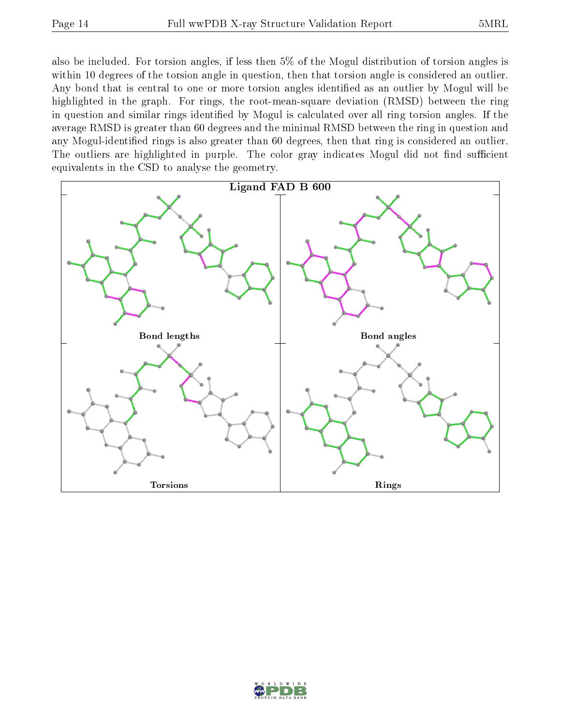also be included. For torsion angles, if less then 5% of the Mogul distribution of torsion angles is within 10 degrees of the torsion angle in question, then that torsion angle is considered an outlier. Any bond that is central to one or more torsion angles identified as an outlier by Mogul will be highlighted in the graph. For rings, the root-mean-square deviation (RMSD) between the ring in question and similar rings identified by Mogul is calculated over all ring torsion angles. If the average RMSD is greater than 60 degrees and the minimal RMSD between the ring in question and any Mogul-identified rings is also greater than 60 degrees, then that ring is considered an outlier. The outliers are highlighted in purple. The color gray indicates Mogul did not find sufficient equivalents in the CSD to analyse the geometry.



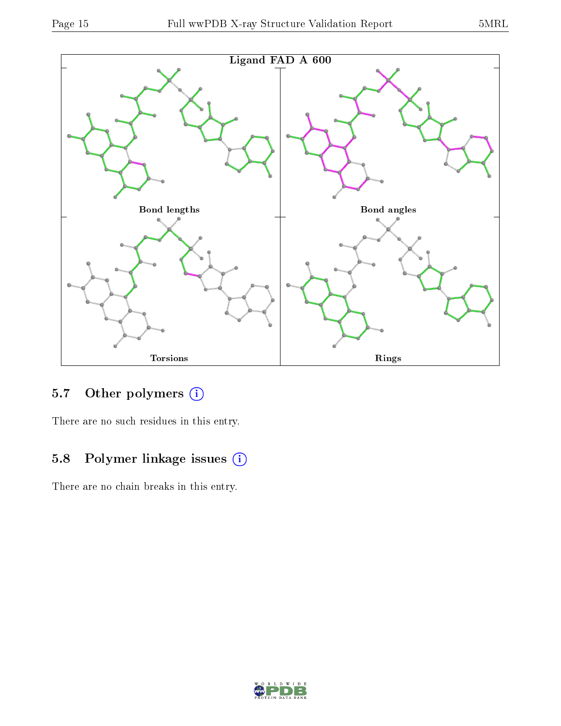

### 5.7 [O](https://www.wwpdb.org/validation/2017/XrayValidationReportHelp#nonstandard_residues_and_ligands)ther polymers (i)

There are no such residues in this entry.

# 5.8 Polymer linkage issues (i)

There are no chain breaks in this entry.

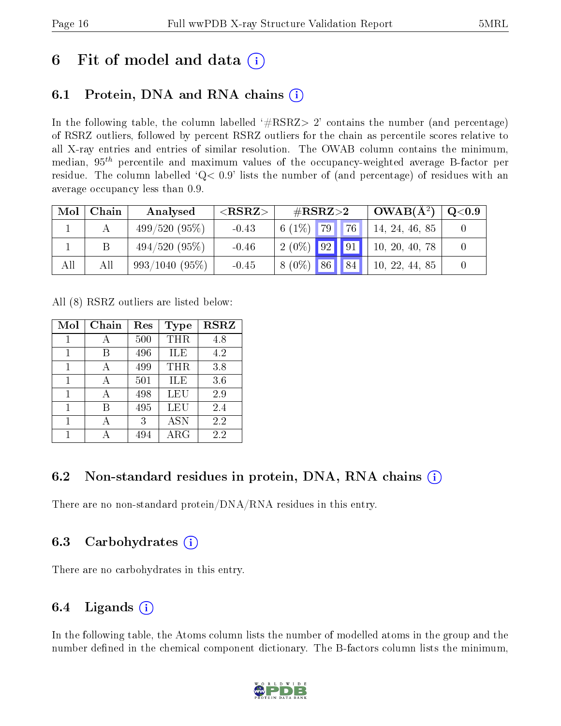# 6 Fit of model and data  $\left( \cdot \right)$

### 6.1 Protein, DNA and RNA chains (i)

In the following table, the column labelled  $#RSRZ>2'$  contains the number (and percentage) of RSRZ outliers, followed by percent RSRZ outliers for the chain as percentile scores relative to all X-ray entries and entries of similar resolution. The OWAB column contains the minimum, median,  $95<sup>th</sup>$  percentile and maximum values of the occupancy-weighted average B-factor per residue. The column labelled  $Q< 0.9$  lists the number of (and percentage) of residues with an average occupancy less than 0.9.

| Mol | Chain | Analysed         | ${ <\hspace{-1.5pt}{\mathrm{RSRZ}} \hspace{-1.5pt}>}$ | $\#\text{RSRZ}{>}2$                 | $\vert$ OWAB( $A^2$ ) $\vert$ | $\rm Q\textcolor{black}{<}0.9$ $\mid$ |
|-----|-------|------------------|-------------------------------------------------------|-------------------------------------|-------------------------------|---------------------------------------|
|     |       | $499/520(95\%)$  | $-0.43$                                               | $6(1\%)$ 79   .<br>$\vert 76 \vert$ | 14, 24, 46, 85                |                                       |
|     |       | $494/520(95\%)$  | $-0.46$                                               | $2(0\%)$ 92 91                      | 10, 20, 40, 78                |                                       |
| All | All   | $993/1040(95\%)$ | $-0.45$                                               | $8(0\%)$ 86 84                      | 10, 22, 44, 85                |                                       |

All (8) RSRZ outliers are listed below:

| Mol | Chain | Res | <b>Type</b> | <b>RSRZ</b> |
|-----|-------|-----|-------------|-------------|
|     |       | 500 | THR         | 4.8         |
| 1   | В     | 496 | ILE         | 4.2         |
| 1   | А     | 499 | THR         | 3.8         |
| 1   | А     | 501 | ILE         | 3.6         |
| 1   | А     | 498 | LEU         | 2.9         |
| 1   | R     | 495 | <b>LEU</b>  | 2.4         |
|     |       | 3   | <b>ASN</b>  | 2.2         |
|     |       | 494 | ARG         | 2.2         |

### 6.2 Non-standard residues in protein, DNA, RNA chains (i)

There are no non-standard protein/DNA/RNA residues in this entry.

### 6.3 Carbohydrates (i)

There are no carbohydrates in this entry.

### 6.4 Ligands  $(i)$

In the following table, the Atoms column lists the number of modelled atoms in the group and the number defined in the chemical component dictionary. The B-factors column lists the minimum,

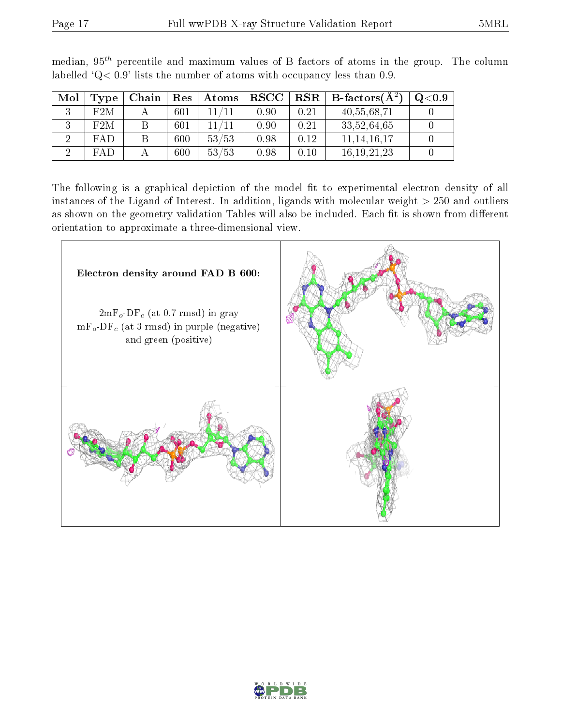| Mol | Type       | Chain | $\operatorname{Res}$ | $\boldsymbol{\mathrm{Atoms}}$ | $_{\rm RSCC}$ |      | $\parallel$ RSR $\parallel$ B-factors(A <sup>2</sup> ) | $\mathrm{Q}{<}0.9$ |
|-----|------------|-------|----------------------|-------------------------------|---------------|------|--------------------------------------------------------|--------------------|
|     | F2M        |       | 601                  |                               | 0.90          | 0.21 | 40,55,68,71                                            |                    |
|     | F2M        |       | 601                  |                               | 0.90          | 0.21 | 33,52,64,65                                            |                    |
|     | <b>FAD</b> |       | 600                  | 53/53                         | 0.98          | 0.12 | 11, 14, 16, 17                                         |                    |
|     | FAP        |       | 600                  | 53/53                         | 0.98          | 0.10 | 16.19.21.23                                            |                    |

median,  $95<sup>th</sup>$  percentile and maximum values of B factors of atoms in the group. The column labelled ' $Q< 0.9$ ' lists the number of atoms with occupancy less than 0.9.

The following is a graphical depiction of the model fit to experimental electron density of all instances of the Ligand of Interest. In addition, ligands with molecular weight  $> 250$  and outliers as shown on the geometry validation Tables will also be included. Each fit is shown from different orientation to approximate a three-dimensional view.